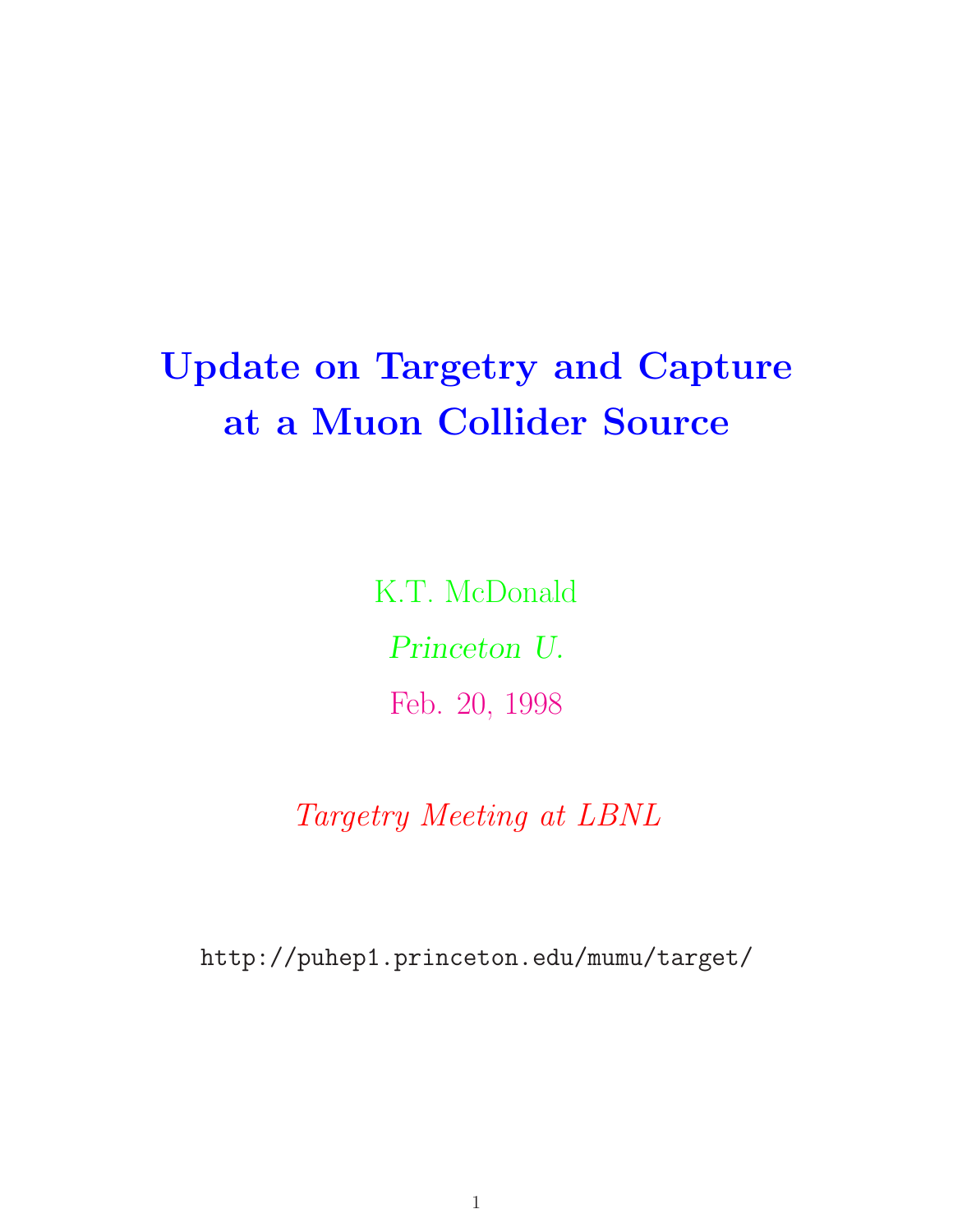# **Update on Targetry and Capture at a Muon Collider Source**

K.T. McDonald *Princeton U.* Feb. 20, 1998

*Targetry Meeting at LBNL*

http://puhep1.princeton.edu/mumu/target/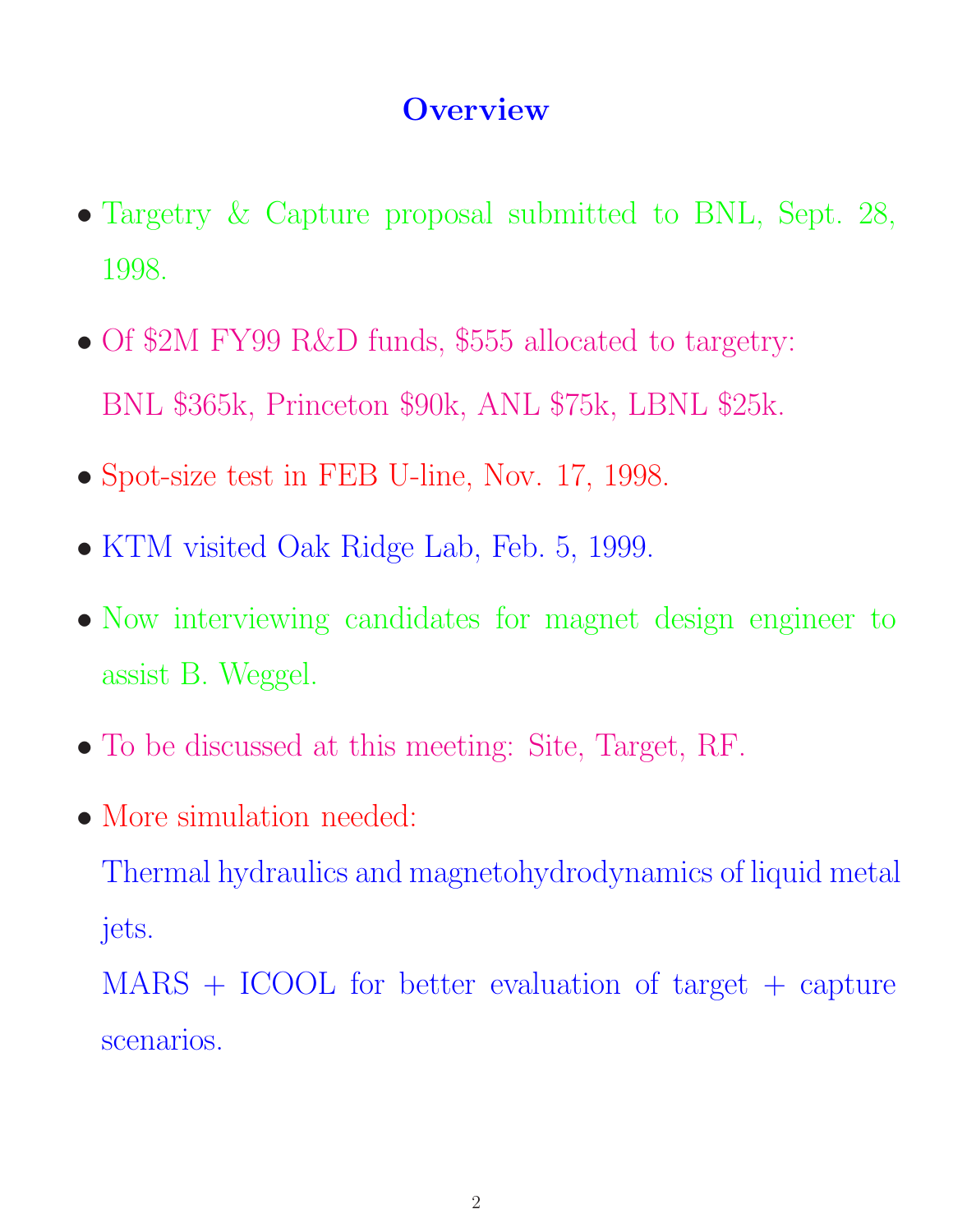### **Overview**

- Targetry & Capture proposal submitted to BNL, Sept. 28, 1998.
- Of \$2M FY99 R&D funds, \$555 allocated to targetry: BNL \$365k, Princeton \$90k, ANL \$75k, LBNL \$25k.
- Spot-size test in FEB U-line, Nov. 17, 1998.
- KTM visited Oak Ridge Lab, Feb. 5, 1999.
- Now interviewing candidates for magnet design engineer to assist B. Weggel.
- To be discussed at this meeting: Site, Target, RF.
- More simulation needed:

Thermal hydraulics and magnetohydrodynamics of liquid metal jets.

MARS + ICOOL for better evaluation of target + capture scenarios.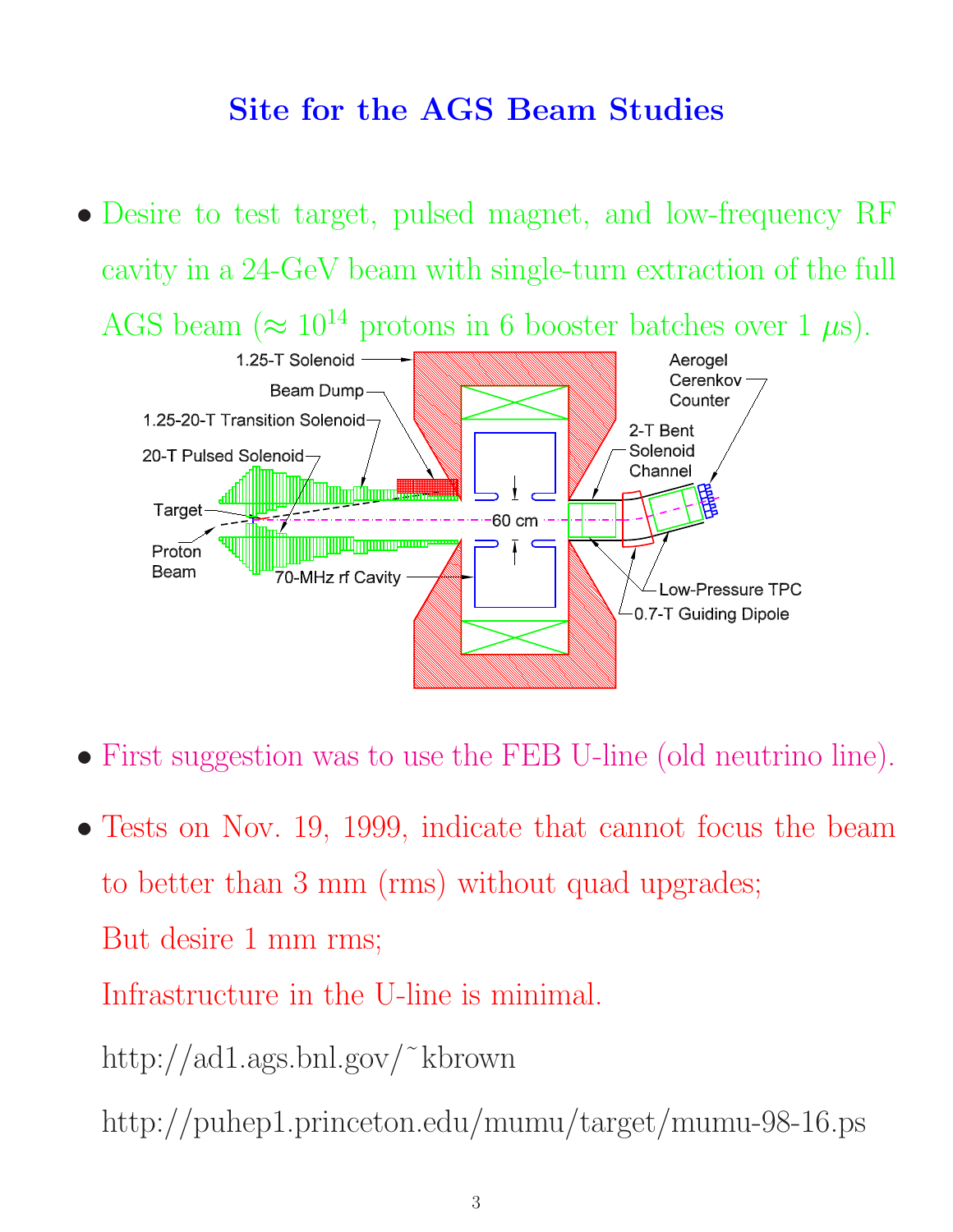## **Site for the AGS Beam Studies**

- Desire to test target, pulsed magnet, and low-frequency RF cavity in a 24-GeV beam with single-turn extraction of the full AGS beam  $(\approx 10^{14} \text{ protons in } 6 \text{ booster batches over } 1 \text{ }\mu\text{s}).$ <br>1.25-T Solenoid --- **All and Accelerate Contains the Contract of Acceleration** Cerenkov Beam Dump Counter 1.25-20-T Transition Solenoid-2-T Bent Solenoid 20-T Pulsed Solenoid-Channel WIIIIIIITTim**aa** Target  $60 \text{ cm}$ Ī Proton Beam 70-MHz rf Cavity Low-Pressure TPC -0.7-T Guiding Dipole
- First suggestion was to use the FEB U-line (old neutrino line).
- Tests on Nov. 19, 1999, indicate that cannot focus the beam to better than 3 mm (rms) without quad upgrades; But desire 1 mm rms; Infrastructure in the U-line is minimal.
	- http://ad1.ags.bnl.gov/˜kbrown
	- http://puhep1.princeton.edu/mumu/target/mumu-98-16.ps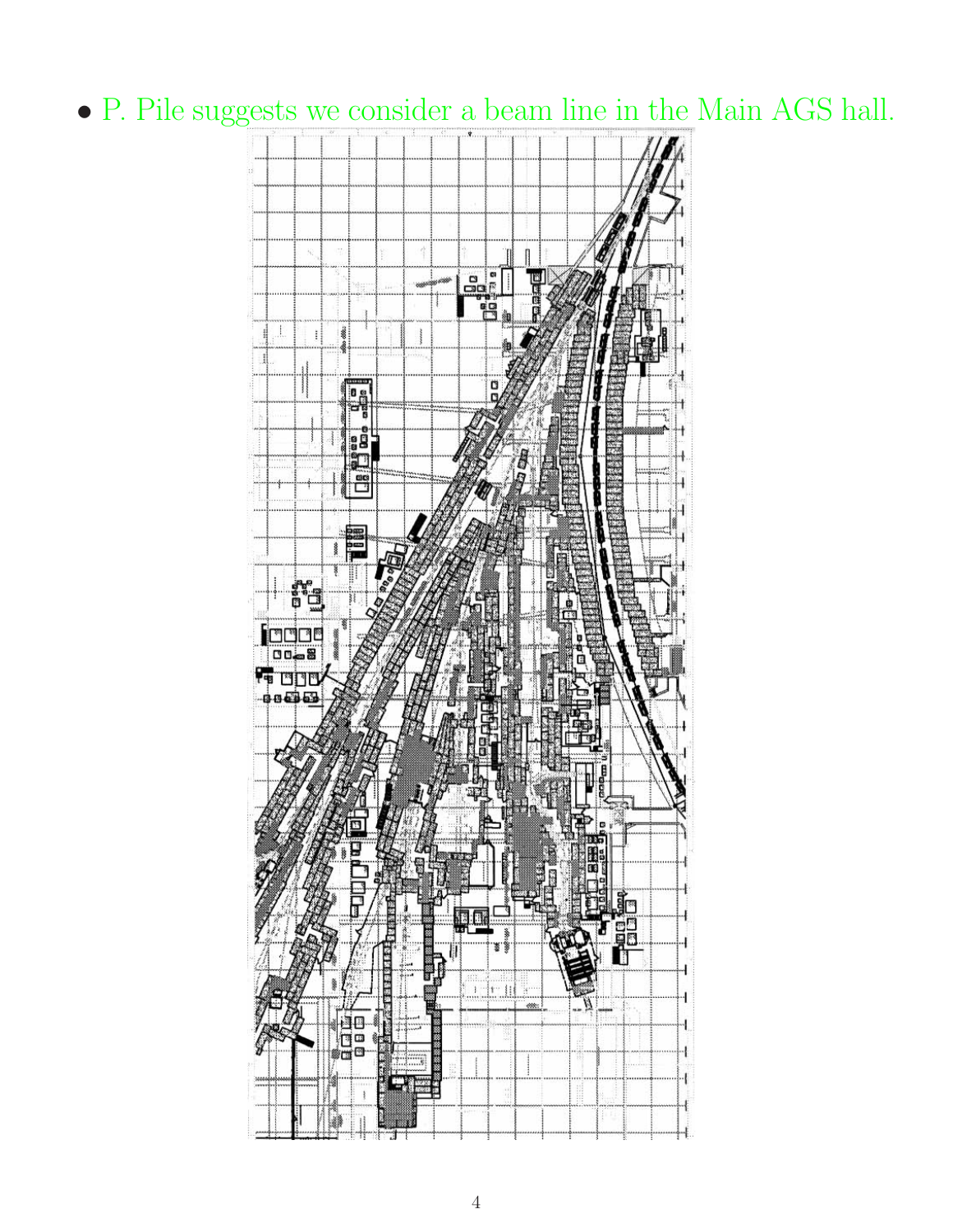## • P. Pile suggests we consider a beam line in the Main AGS hall.

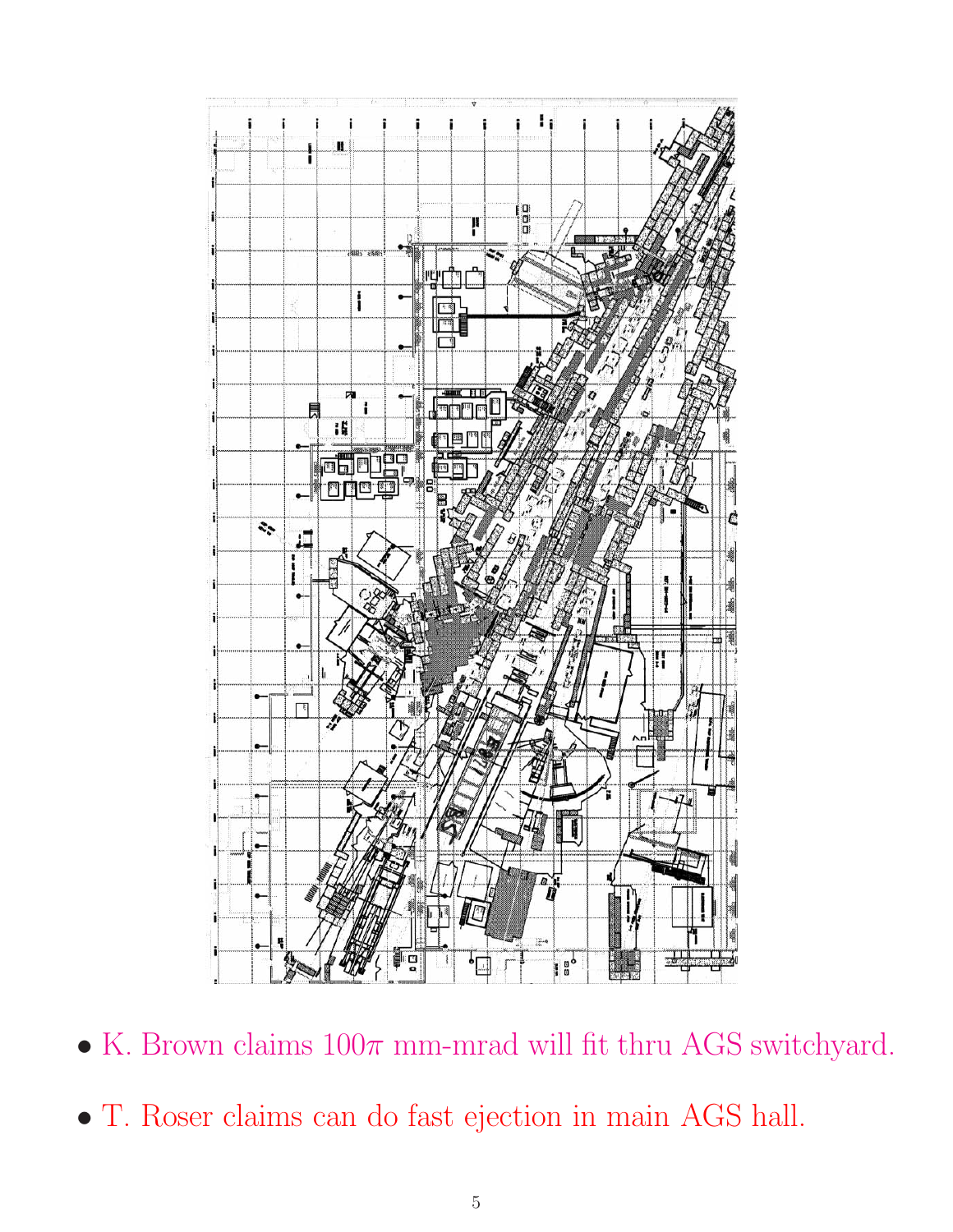

- $\bullet$  K. Brown claims  $100\pi$  mm-mrad will fit thru AGS switchyard.
- T. Roser claims can do fast ejection in main AGS hall.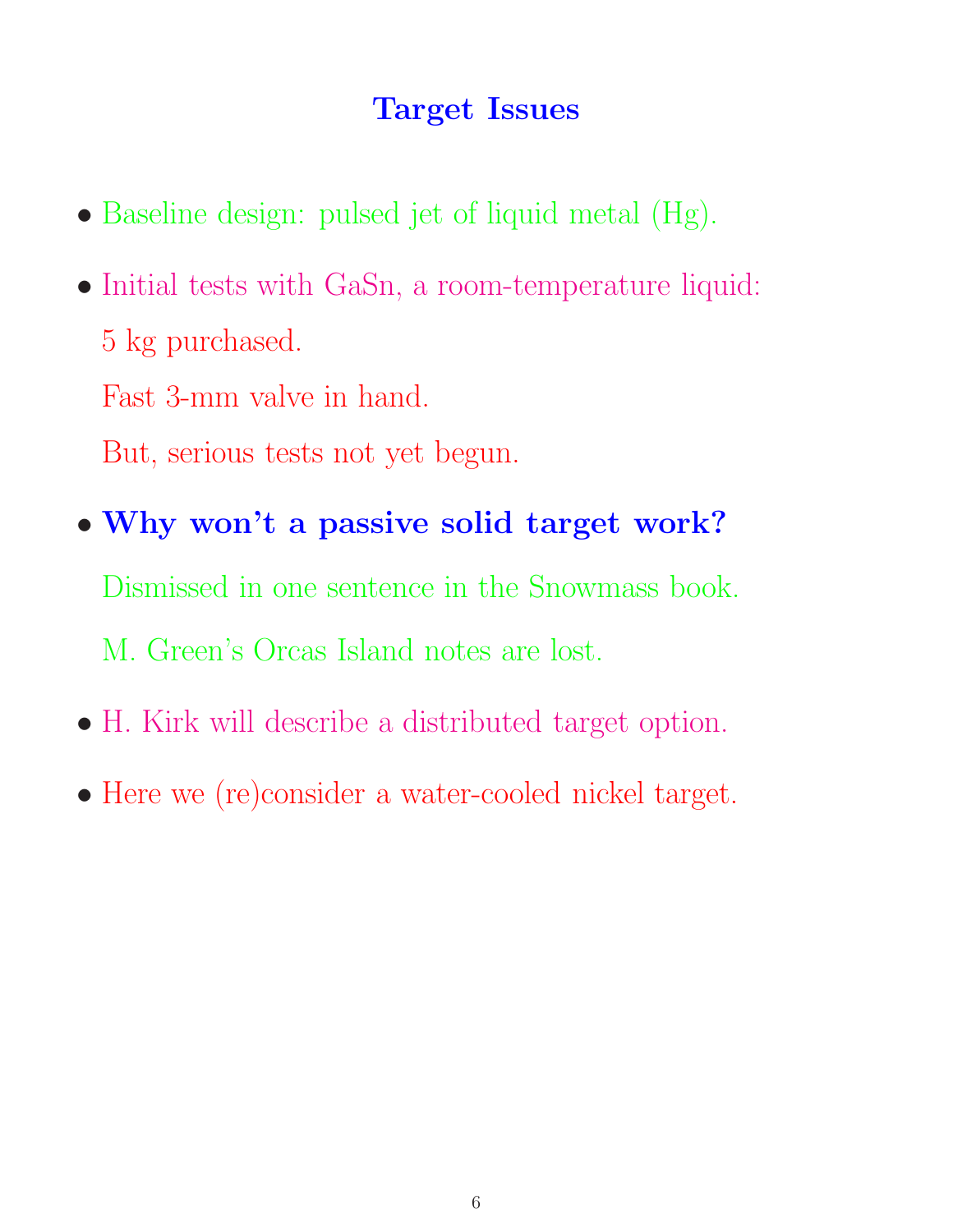## **Target Issues**

- Baseline design: pulsed jet of liquid metal (Hg).
- Initial tests with GaSn, a room-temperature liquid: 5 kg purchased. Fast 3-mm valve in hand.
	- But, serious tests not yet begun.
- **Why won't a passive solid target work?** Dismissed in one sentence in the Snowmass book. M. Green's Orcas Island notes are lost.
- H. Kirk will describe a distributed target option.
- Here we (re)consider a water-cooled nickel target.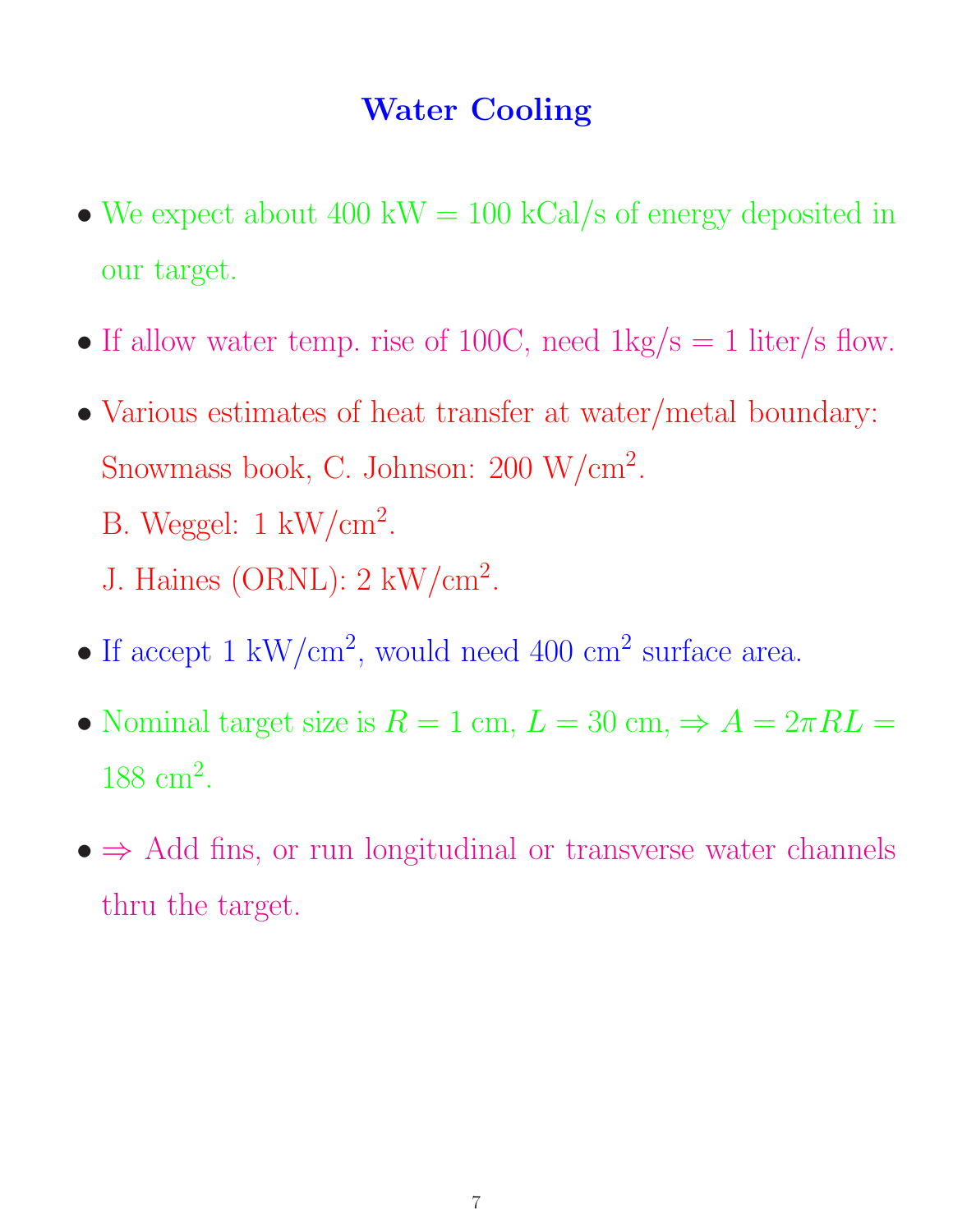#### **Water Cooling**

- We expect about 400 kW = 100 kCal/s of energy deposited in our target.
- If allow water temp. rise of 100C, need  $1 \text{kg/s} = 1$  liter/s flow.
- Various estimates of heat transfer at water/metal boundary: Snowmass book, C. Johnson: 200 W/cm<sup>2</sup>. B. Weggel:  $1 \text{ kW/cm}^2$ .
	- J. Haines (ORNL): 2 kW/cm<sup>2</sup>.
- If accept 1  $\text{kW/cm}^2$ , would need 400 cm<sup>2</sup> surface area.
- Nominal target size is  $R = 1$  cm,  $L = 30$  cm,  $\Rightarrow A = 2\pi R L =$ 188 cm<sup>2</sup>.
- $\bullet$   $\Rightarrow$  Add fins, or run longitudinal or transverse water channels thru the target.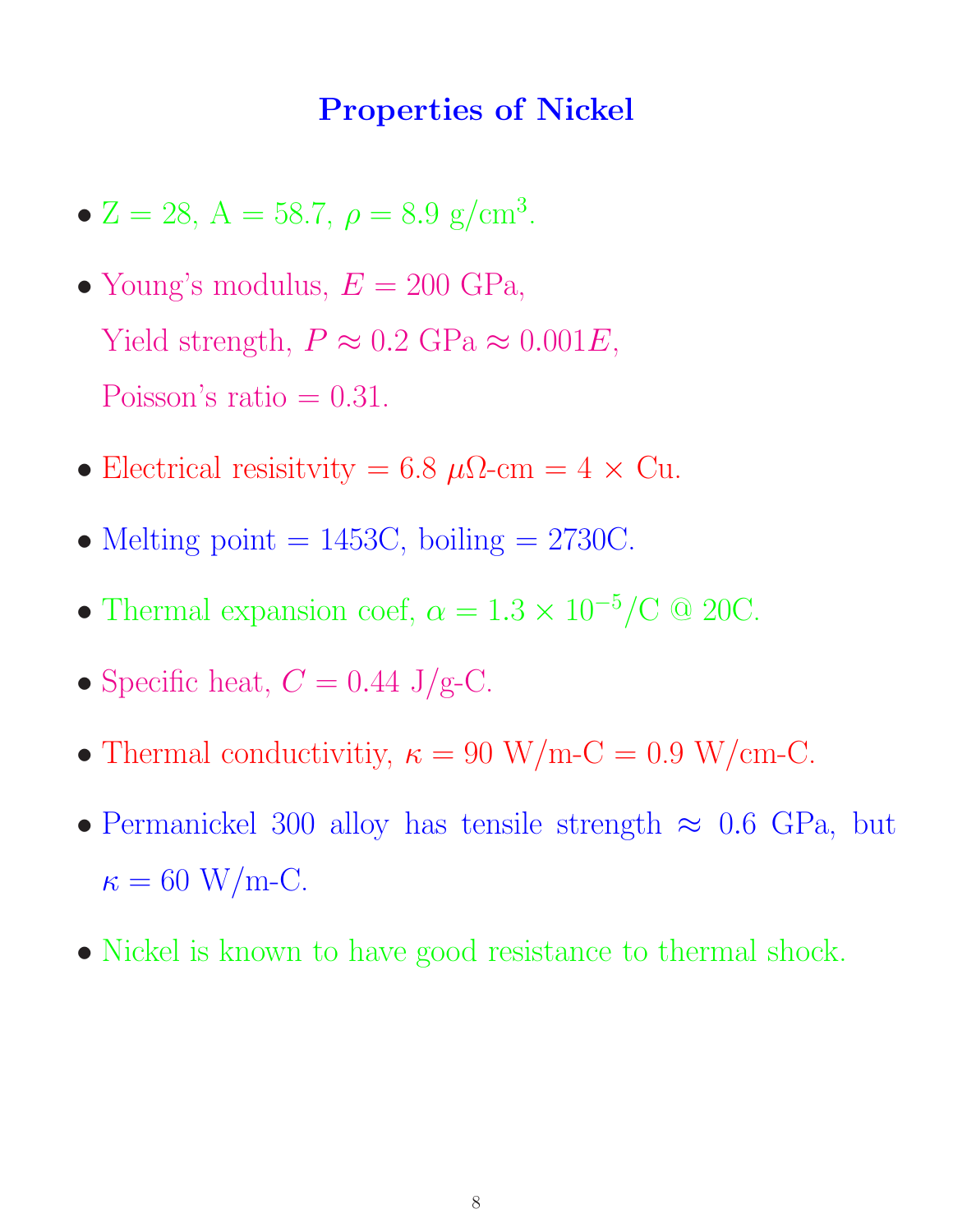#### **Properties of Nickel**

- Z = 28, A = 58.7,  $\rho = 8.9$  g/cm<sup>3</sup>.
- Young's modulus,  $E = 200 \text{ GPa}$ , Yield strength,  $P \approx 0.2 \text{ GPa} \approx 0.001E$ , Poisson's ratio  $= 0.31$ .
- Electrical resisitvity = 6.8  $\mu\Omega$ -cm = 4 × Cu.
- Melting point  $= 1453C$ , boiling  $= 2730C$ .
- Thermal expansion coef,  $\alpha = 1.3 \times 10^{-5} / \text{C}$  @ 20C.
- Specific heat,  $C = 0.44$  J/g-C.
- Thermal conductivitiy,  $\kappa = 90 \text{ W/m-C} = 0.9 \text{ W/cm-C}.$
- Permanickel 300 alloy has tensile strength  $\approx$  0.6 GPa, but  $\kappa = 60$  W/m-C.
- Nickel is known to have good resistance to thermal shock.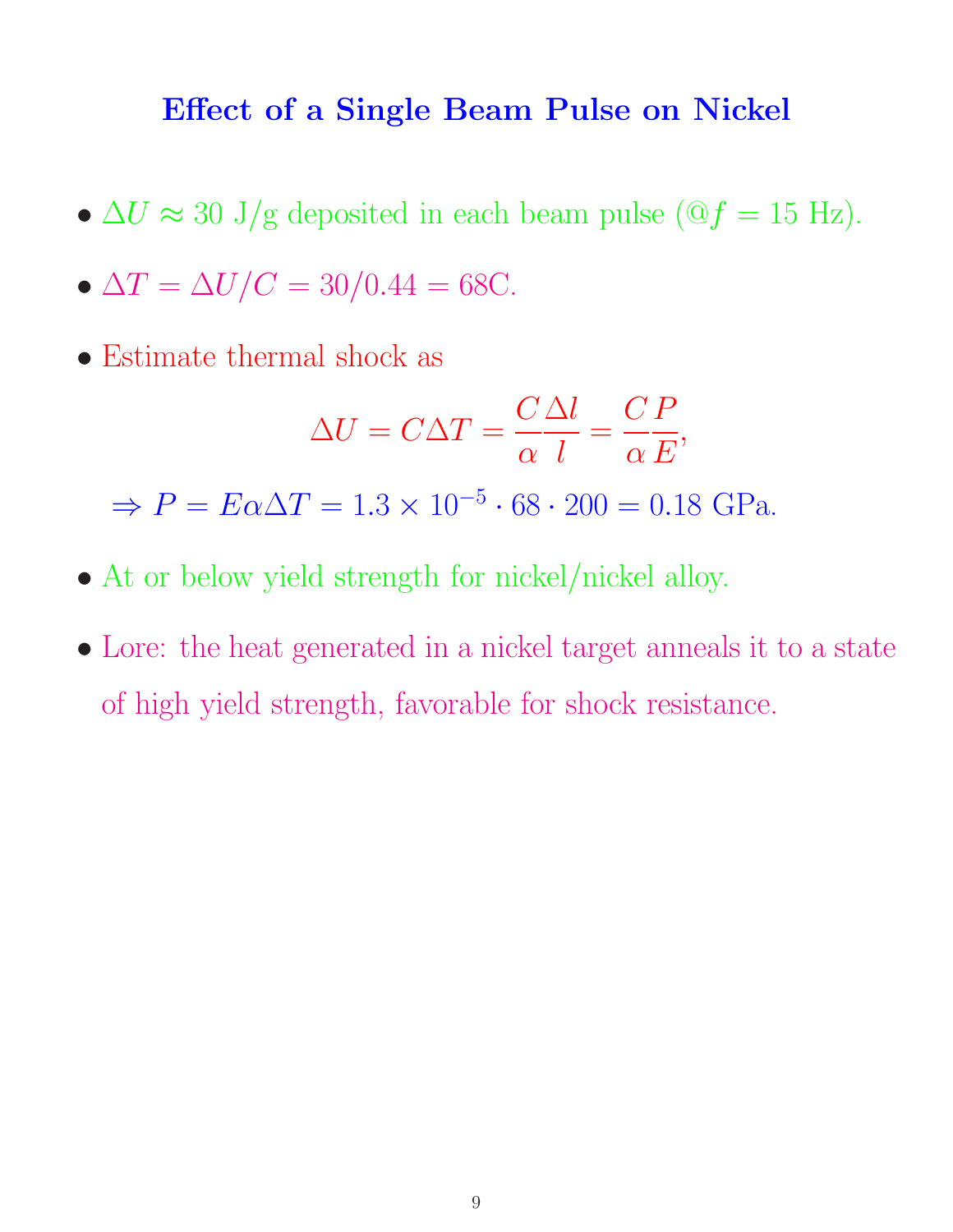#### **Effect of a Single Beam Pulse on Nickel**

•  $\Delta U \approx 30 \text{ J/g}$  deposited in each beam pulse ( $\Im f = 15 \text{ Hz}$ ).

$$
\bullet \ \Delta T = \Delta U/C = 30/0.44 = 68
$$

• Estimate thermal shock as

$$
\Delta U = C \Delta T = \frac{C \Delta l}{\alpha l} = \frac{C P}{\alpha E},
$$

 $\Rightarrow P = E\alpha \Delta T = 1.3 \times 10^{-5} \cdot 68 \cdot 200 = 0.18 \text{ GPa}.$ 

- At or below yield strength for nickel/nickel alloy.
- Lore: the heat generated in a nickel target anneals it to a state of high yield strength, favorable for shock resistance.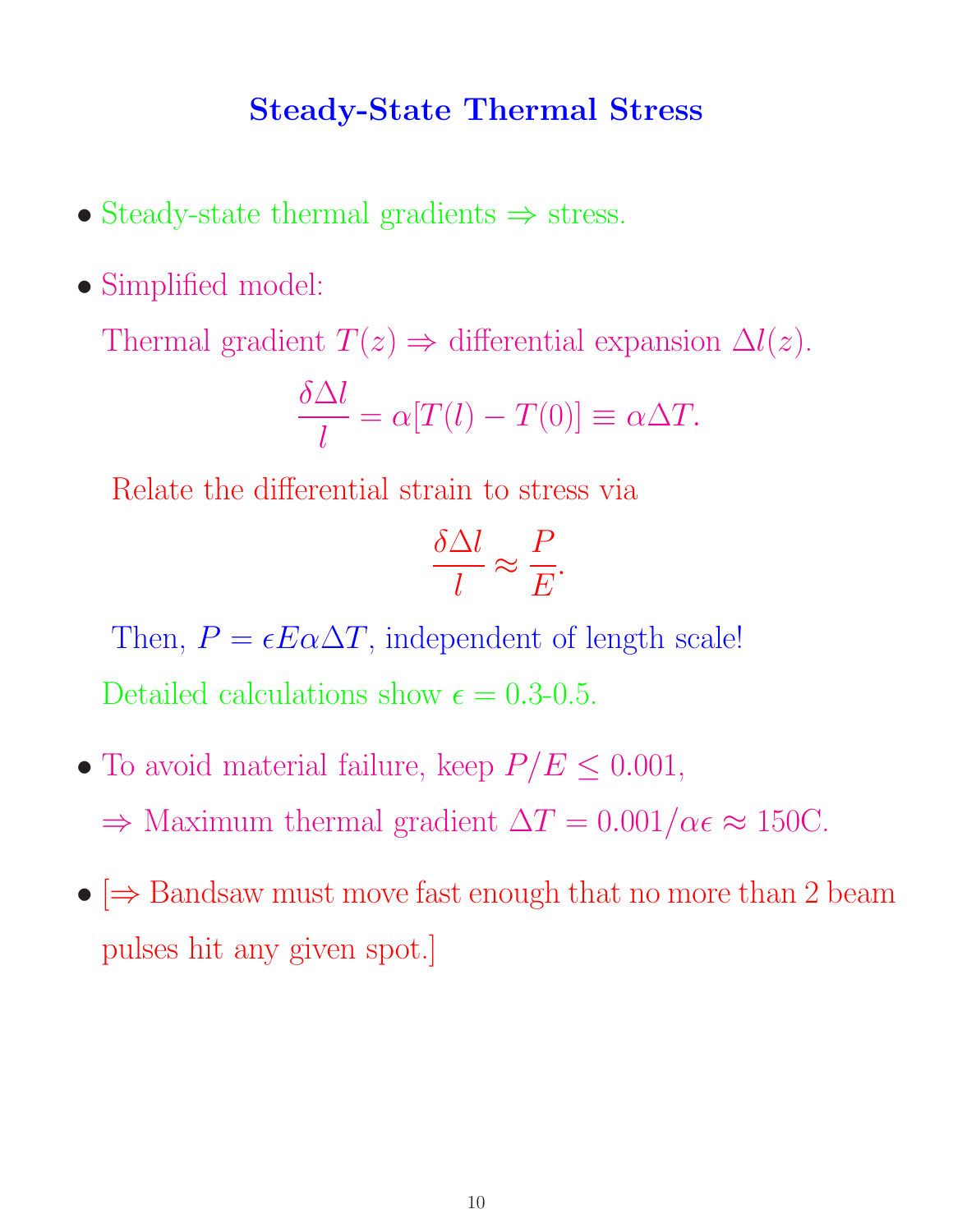#### **Steady-State Thermal Stress**

- Steady-state thermal gradients ⇒ stress.
- Simplified model:

Thermal gradient  $T(z) \Rightarrow$  differential expansion  $\Delta l(z)$ .

$$
\frac{\delta \Delta l}{l} = \alpha [T(l) - T(0)] \equiv \alpha \Delta T.
$$

Relate the differential strain to stress via

$$
\frac{\delta \Delta l}{l} \approx \frac{P}{E}.
$$

Then,  $P = \epsilon E \alpha \Delta T$ , independent of length scale! Detailed calculations show  $\epsilon = 0.3$ -0.5.

- To avoid material failure, keep  $P/E \leq 0.001$ ,  $\Rightarrow$  Maximum thermal gradient  $\Delta T = 0.001/\alpha \epsilon \approx 150C$ .
- $\Rightarrow$  Bandsaw must move fast enough that no more than 2 beam pulses hit any given spot.]